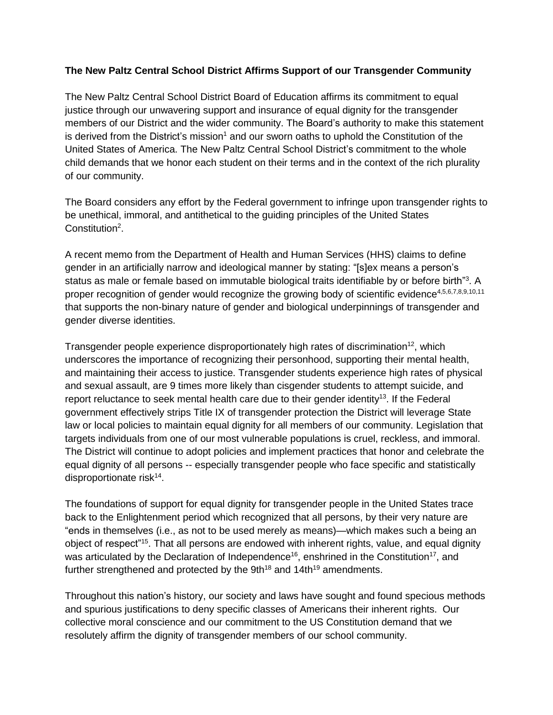# **The New Paltz Central School District Affirms Support of our Transgender Community**

The New Paltz Central School District Board of Education affirms its commitment to equal justice through our unwavering support and insurance of equal dignity for the transgender members of our District and the wider community. The Board's authority to make this statement is derived from the District's mission<sup>1</sup> and our sworn oaths to uphold the Constitution of the United States of America. The New Paltz Central School District's commitment to the whole child demands that we honor each student on their terms and in the context of the rich plurality of our community.

The Board considers any effort by the Federal government to infringe upon transgender rights to be unethical, immoral, and antithetical to the guiding principles of the United States Constitution<sup>2</sup>.

A recent memo from the Department of Health and Human Services (HHS) claims to define gender in an artificially narrow and ideological manner by stating: "[s]ex means a person's status as male or female based on immutable biological traits identifiable by or before birth"<sup>3</sup>. A proper recognition of gender would recognize the growing body of scientific evidence<sup>4,5,6,7,8,9,10,11</sup> that supports the non-binary nature of gender and biological underpinnings of transgender and gender diverse identities.

Transgender people experience disproportionately high rates of discrimination<sup>12</sup>, which underscores the importance of recognizing their personhood, supporting their mental health, and maintaining their access to justice. Transgender students experience high rates of physical and sexual assault, are 9 times more likely than cisgender students to attempt suicide, and report reluctance to seek mental health care due to their gender identity<sup>13</sup>. If the Federal government effectively strips Title IX of transgender protection the District will leverage State law or local policies to maintain equal dignity for all members of our community. Legislation that targets individuals from one of our most vulnerable populations is cruel, reckless, and immoral. The District will continue to adopt policies and implement practices that honor and celebrate the equal dignity of all persons -- especially transgender people who face specific and statistically disproportionate risk<sup>14</sup>.

The foundations of support for equal dignity for transgender people in the United States trace back to the Enlightenment period which recognized that all persons, by their very nature are "ends in themselves (i.e., as not to be used merely as means)—which makes such a being an object of respect"<sup>15</sup>. That all persons are endowed with inherent rights, value, and equal dignity was articulated by the Declaration of Independence<sup>16</sup>, enshrined in the Constitution<sup>17</sup>, and further strengthened and protected by the 9th $18$  and 14th $19$  amendments.

Throughout this nation's history, our society and laws have sought and found specious methods and spurious justifications to deny specific classes of Americans their inherent rights. Our collective moral conscience and our commitment to the US Constitution demand that we resolutely affirm the dignity of transgender members of our school community.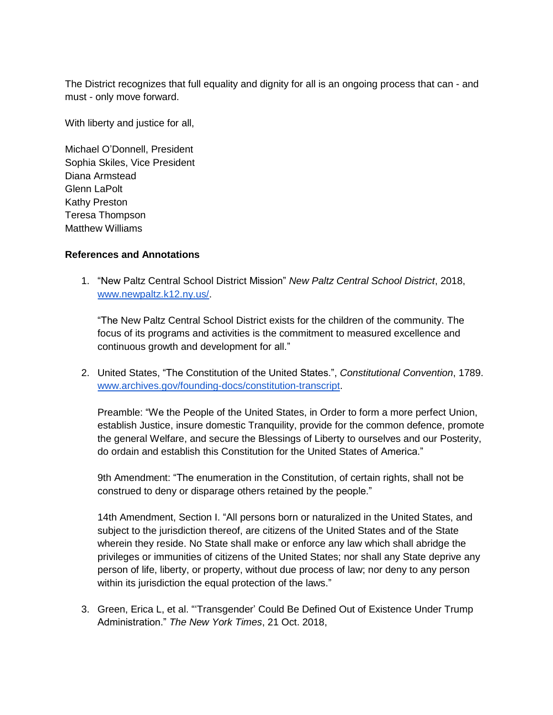The District recognizes that full equality and dignity for all is an ongoing process that can - and must - only move forward.

With liberty and justice for all,

Michael O'Donnell, President Sophia Skiles, Vice President Diana Armstead Glenn LaPolt Kathy Preston Teresa Thompson Matthew Williams

## **References and Annotations**

1. "New Paltz Central School District Mission" *New Paltz Central School District*, 2018, [www.newpaltz.k12.ny.us/.](http://www.newpaltz.k12.ny.us/)

"The New Paltz Central School District exists for the children of the community. The focus of its programs and activities is the commitment to measured excellence and continuous growth and development for all."

2. United States, "The Constitution of the United States.", *Constitutional Convention*, 1789. [www.archives.gov/founding-docs/constitution-transcript.](http://www.archives.gov/founding-docs/constitution-transcript)

Preamble: "We the People of the United States, in Order to form a more perfect Union, establish Justice, insure domestic Tranquility, provide for the common defence, promote the general Welfare, and secure the Blessings of Liberty to ourselves and our Posterity, do ordain and establish this Constitution for the United States of America."

9th Amendment: "The enumeration in the Constitution, of certain rights, shall not be construed to deny or disparage others retained by the people."

14th Amendment, Section I. "All persons born or naturalized in the United States, and subject to the jurisdiction thereof, are citizens of the United States and of the State wherein they reside. No State shall make or enforce any law which shall abridge the privileges or immunities of citizens of the United States; nor shall any State deprive any person of life, liberty, or property, without due process of law; nor deny to any person within its jurisdiction the equal protection of the laws."

3. Green, Erica L, et al. "'Transgender' Could Be Defined Out of Existence Under Trump Administration." *The New York Times*, 21 Oct. 2018,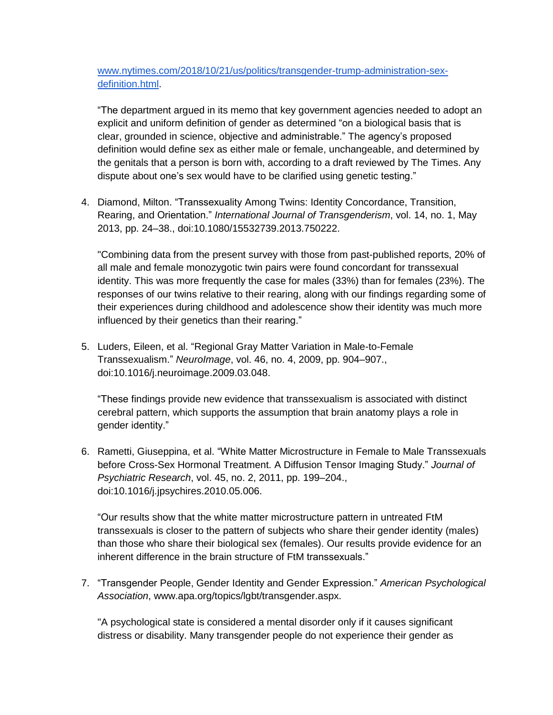[www.nytimes.com/2018/10/21/us/politics/transgender-trump-administration-sex](http://www.nytimes.com/2018/10/21/us/politics/transgender-trump-administration-sex-definition.html)[definition.html.](http://www.nytimes.com/2018/10/21/us/politics/transgender-trump-administration-sex-definition.html)

"The department argued in its memo that key government agencies needed to adopt an explicit and uniform definition of gender as determined "on a biological basis that is clear, grounded in science, objective and administrable." The agency's proposed definition would define sex as either male or female, unchangeable, and determined by the genitals that a person is born with, according to a draft reviewed by The Times. Any dispute about one's sex would have to be clarified using genetic testing."

4. Diamond, Milton. "Transsexuality Among Twins: Identity Concordance, Transition, Rearing, and Orientation." *International Journal of Transgenderism*, vol. 14, no. 1, May 2013, pp. 24–38., doi:10.1080/15532739.2013.750222.

"Combining data from the present survey with those from past-published reports, 20% of all male and female monozygotic twin pairs were found concordant for transsexual identity. This was more frequently the case for males (33%) than for females (23%). The responses of our twins relative to their rearing, along with our findings regarding some of their experiences during childhood and adolescence show their identity was much more influenced by their genetics than their rearing."

5. Luders, Eileen, et al. "Regional Gray Matter Variation in Male-to-Female Transsexualism." *NeuroImage*, vol. 46, no. 4, 2009, pp. 904–907., doi:10.1016/j.neuroimage.2009.03.048.

"These findings provide new evidence that transsexualism is associated with distinct cerebral pattern, which supports the assumption that brain anatomy plays a role in gender identity."

6. Rametti, Giuseppina, et al. "White Matter Microstructure in Female to Male Transsexuals before Cross-Sex Hormonal Treatment. A Diffusion Tensor Imaging Study." *Journal of Psychiatric Research*, vol. 45, no. 2, 2011, pp. 199–204., doi:10.1016/j.jpsychires.2010.05.006.

"Our results show that the white matter microstructure pattern in untreated FtM transsexuals is closer to the pattern of subjects who share their gender identity (males) than those who share their biological sex (females). Our results provide evidence for an inherent difference in the brain structure of FtM transsexuals."

7. "Transgender People, Gender Identity and Gender Expression." *American Psychological Association*, www.apa.org/topics/lgbt/transgender.aspx.

"A psychological state is considered a mental disorder only if it causes significant distress or disability. Many transgender people do not experience their gender as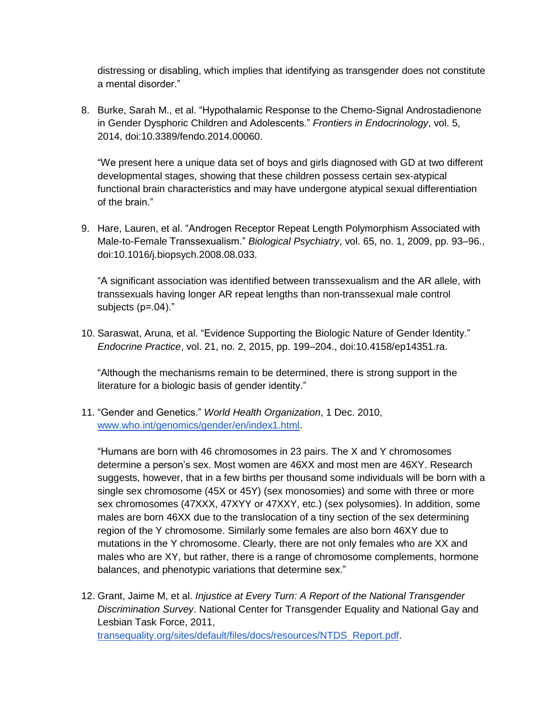distressing or disabling, which implies that identifying as transgender does not constitute a mental disorder."

8. Burke, Sarah M., et al. "Hypothalamic Response to the Chemo-Signal Androstadienone in Gender Dysphoric Children and Adolescents." *Frontiers in Endocrinology*, vol. 5, 2014, doi:10.3389/fendo.2014.00060.

"We present here a unique data set of boys and girls diagnosed with GD at two different developmental stages, showing that these children possess certain sex-atypical functional brain characteristics and may have undergone atypical sexual differentiation of the brain."

9. Hare, Lauren, et al. "Androgen Receptor Repeat Length Polymorphism Associated with Male-to-Female Transsexualism." *Biological Psychiatry*, vol. 65, no. 1, 2009, pp. 93–96., doi:10.1016/j.biopsych.2008.08.033.

"A significant association was identified between transsexualism and the AR allele, with transsexuals having longer AR repeat lengths than non-transsexual male control subjects (p=.04)."

10. Saraswat, Aruna, et al. "Evidence Supporting the Biologic Nature of Gender Identity." *Endocrine Practice*, vol. 21, no. 2, 2015, pp. 199–204., doi:10.4158/ep14351.ra.

"Although the mechanisms remain to be determined, there is strong support in the literature for a biologic basis of gender identity."

11. "Gender and Genetics." *World Health Organization*, 1 Dec. 2010, [www.who.int/genomics/gender/en/index1.html.](http://www.who.int/genomics/gender/en/index1.html)

"Humans are born with 46 chromosomes in 23 pairs. The X and Y chromosomes determine a person's sex. Most women are 46XX and most men are 46XY. Research suggests, however, that in a few births per thousand some individuals will be born with a single sex chromosome (45X or 45Y) (sex monosomies) and some with three or more sex chromosomes (47XXX, 47XYY or 47XXY, etc.) (sex polysomies). In addition, some males are born 46XX due to the translocation of a tiny section of the sex determining region of the Y chromosome. Similarly some females are also born 46XY due to mutations in the Y chromosome. Clearly, there are not only females who are XX and males who are XY, but rather, there is a range of chromosome complements, hormone balances, and phenotypic variations that determine sex."

12. Grant, Jaime M, et al. *Injustice at Every Turn: A Report of the National Transgender Discrimination Survey*. National Center for Transgender Equality and National Gay and Lesbian Task Force, 2011, [transequality.org/sites/default/files/docs/resources/NTDS\\_Report.pdf.](https://transequality.org/sites/default/files/docs/resources/NTDS_Report.pdf)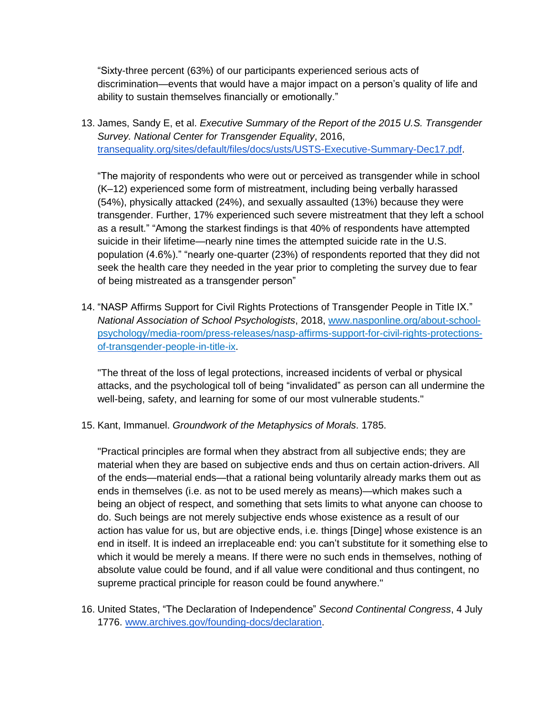"Sixty-three percent (63%) of our participants experienced serious acts of discrimination—events that would have a major impact on a person's quality of life and ability to sustain themselves financially or emotionally."

13. James, Sandy E, et al. *Executive Summary of the Report of the 2015 U.S. Transgender Survey. National Center for Transgender Equality*, 2016, [transequality.org/sites/default/files/docs/usts/USTS-Executive-Summary-Dec17.pdf.](https://transequality.org/sites/default/files/docs/usts/USTS-Executive-Summary-Dec17.pdf)

"The majority of respondents who were out or perceived as transgender while in school (K–12) experienced some form of mistreatment, including being verbally harassed (54%), physically attacked (24%), and sexually assaulted (13%) because they were transgender. Further, 17% experienced such severe mistreatment that they left a school as a result." "Among the starkest findings is that 40% of respondents have attempted suicide in their lifetime—nearly nine times the attempted suicide rate in the U.S. population (4.6%)." "nearly one-quarter (23%) of respondents reported that they did not seek the health care they needed in the year prior to completing the survey due to fear of being mistreated as a transgender person"

14. "NASP Affirms Support for Civil Rights Protections of Transgender People in Title IX." *National Association of School Psychologists*, 2018, [www.nasponline.org/about-school](http://www.nasponline.org/about-school-psychology/media-room/press-releases/nasp-affirms-support-for-civil-rights-protections-of-transgender-people-in-title-ix)[psychology/media-room/press-releases/nasp-affirms-support-for-civil-rights-protections](http://www.nasponline.org/about-school-psychology/media-room/press-releases/nasp-affirms-support-for-civil-rights-protections-of-transgender-people-in-title-ix)[of-transgender-people-in-title-ix.](http://www.nasponline.org/about-school-psychology/media-room/press-releases/nasp-affirms-support-for-civil-rights-protections-of-transgender-people-in-title-ix)

"The threat of the loss of legal protections, increased incidents of verbal or physical attacks, and the psychological toll of being "invalidated" as person can all undermine the well-being, safety, and learning for some of our most vulnerable students."

15. Kant, Immanuel. *Groundwork of the Metaphysics of Morals*. 1785.

"Practical principles are formal when they abstract from all subjective ends; they are material when they are based on subjective ends and thus on certain action-drivers. All of the ends—material ends—that a rational being voluntarily already marks them out as ends in themselves (i.e. as not to be used merely as means)—which makes such a being an object of respect, and something that sets limits to what anyone can choose to do. Such beings are not merely subjective ends whose existence as a result of our action has value for us, but are objective ends, i.e. things [Dinge] whose existence is an end in itself. It is indeed an irreplaceable end: you can't substitute for it something else to which it would be merely a means. If there were no such ends in themselves, nothing of absolute value could be found, and if all value were conditional and thus contingent, no supreme practical principle for reason could be found anywhere."

16. United States, "The Declaration of Independence" *Second Continental Congress*, 4 July 1776. [www.archives.gov/founding-docs/declaration.](http://www.archives.gov/founding-docs/declaration)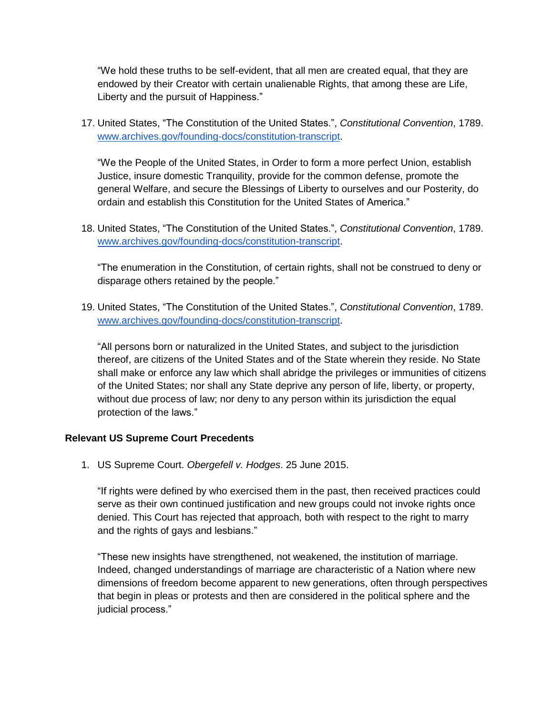"We hold these truths to be self-evident, that all men are created equal, that they are endowed by their Creator with certain unalienable Rights, that among these are Life, Liberty and the pursuit of Happiness."

17. United States, "The Constitution of the United States.", *Constitutional Convention*, 1789. [www.archives.gov/founding-docs/constitution-transcript.](http://www.archives.gov/founding-docs/constitution-transcript)

"We the People of the United States, in Order to form a more perfect Union, establish Justice, insure domestic Tranquility, provide for the common defense, promote the general Welfare, and secure the Blessings of Liberty to ourselves and our Posterity, do ordain and establish this Constitution for the United States of America."

18. United States, "The Constitution of the United States.", *Constitutional Convention*, 1789. [www.archives.gov/founding-docs/constitution-transcript.](http://www.archives.gov/founding-docs/constitution-transcript)

"The enumeration in the Constitution, of certain rights, shall not be construed to deny or disparage others retained by the people."

19. United States, "The Constitution of the United States.", *Constitutional Convention*, 1789. [www.archives.gov/founding-docs/constitution-transcript.](http://www.archives.gov/founding-docs/constitution-transcript)

"All persons born or naturalized in the United States, and subject to the jurisdiction thereof, are citizens of the United States and of the State wherein they reside. No State shall make or enforce any law which shall abridge the privileges or immunities of citizens of the United States; nor shall any State deprive any person of life, liberty, or property, without due process of law; nor deny to any person within its jurisdiction the equal protection of the laws."

### **Relevant US Supreme Court Precedents**

1. US Supreme Court. *Obergefell v. Hodges*. 25 June 2015.

"If rights were defined by who exercised them in the past, then received practices could serve as their own continued justification and new groups could not invoke rights once denied. This Court has rejected that approach, both with respect to the right to marry and the rights of gays and lesbians."

"These new insights have strengthened, not weakened, the institution of marriage. Indeed, changed understandings of marriage are characteristic of a Nation where new dimensions of freedom become apparent to new generations, often through perspectives that begin in pleas or protests and then are considered in the political sphere and the judicial process."